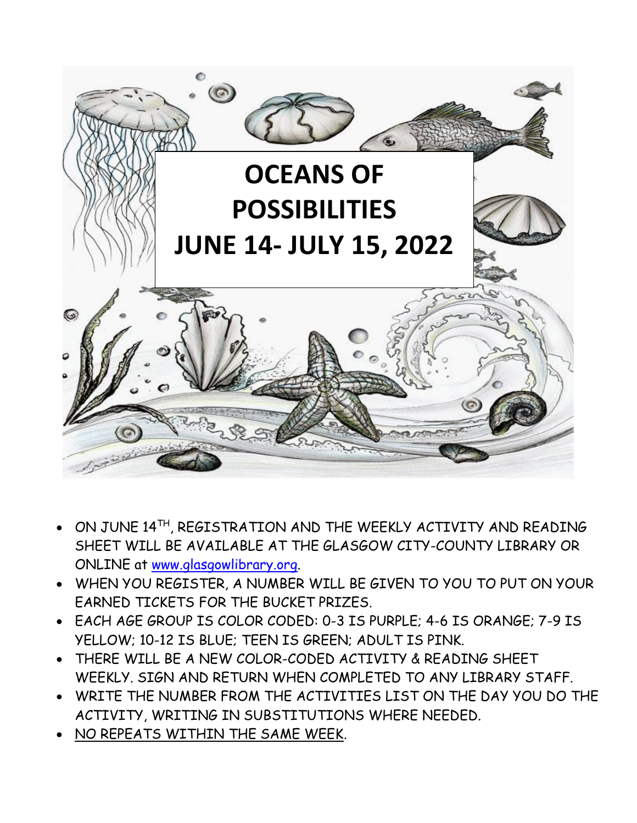

- $\bullet$  ON JUNE 14TH, REGISTRATION AND THE WEEKLY ACTIVITY AND READING SHEET WILL BE AVAILABLE AT THE GLASGOW CITY-COUNTY LIBRARY OR ONLINE at [www.glasgowlibrary.org.](http://www.glasgowlibrary.org/)
- WHEN YOU REGISTER, A NUMBER WILL BE GIVEN TO YOU TO PUT ON YOUR EARNED TICKETS FOR THE BUCKET PRIZES.
- EACH AGE GROUP IS COLOR CODED: 0-3 IS PURPLE; 4-6 IS ORANGE; 7-9 IS YELLOW; 10-12 IS BLUE; TEEN IS GREEN; ADULT IS PINK.
- THERE WILL BE A NEW COLOR-CODED ACTIVITY & READING SHEET WEEKLY. SIGN AND RETURN WHEN COMPLETED TO ANY LIBRARY STAFF.
- WRITE THE NUMBER FROM THE ACTIVITIES LIST ON THE DAY YOU DO THE ACTIVITY, WRITING IN SUBSTITUTIONS WHERE NEEDED.
- NO REPEATS WITHIN THE SAME WEEK.